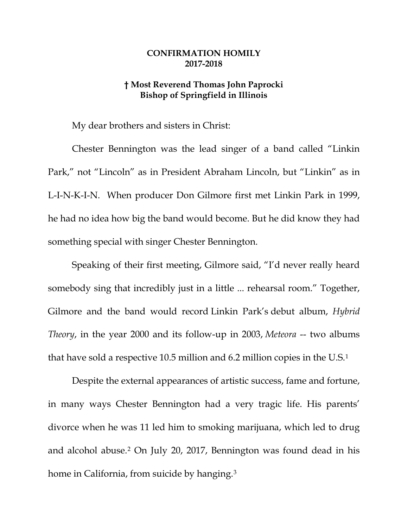## **CONFIRMATION HOMILY 2017-2018**

## **† Most Reverend Thomas John Paprocki Bishop of Springfield in Illinois**

My dear brothers and sisters in Christ:

Chester Bennington was the lead singer of a band called "Linkin Park," not "Lincoln" as in President Abraham Lincoln, but "Linkin" as in L-I-N-K-I-N. When producer Don Gilmore first met Linkin Park in 1999, he had no idea how big the band would become. But he did know they had something special with singer Chester Bennington.

Speaking of their first meeting, Gilmore said, "I'd never really heard somebody sing that incredibly just in a little ... rehearsal room." Together, Gilmore and the band would record Linkin Park's debut album, *Hybrid Theory*, in the year 2000 and its follow-up in 2003, *Meteora* -- two albums that have sold a respective 10.5 million and 6.2 million copies in the U.S.[1](#page-5-0)

Despite the external appearances of artistic success, fame and fortune, in many ways Chester Bennington had a very tragic life. His parents' divorce when he was 11 led him to smoking marijuana, which led to drug and alcohol abuse.[2](#page-5-1) On July 20, 2017, Bennington was found dead in his home in California, from suicide by hanging.<sup>[3](#page-5-2)</sup>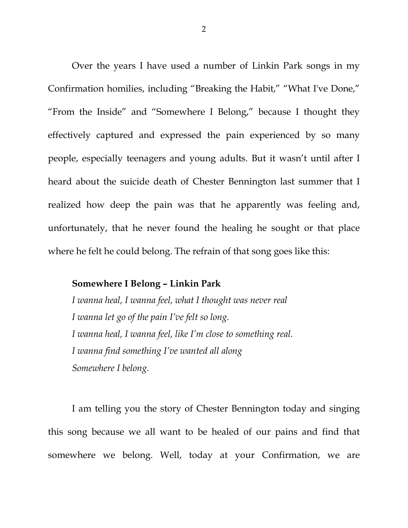Over the years I have used a number of Linkin Park songs in my Confirmation homilies, including "Breaking the Habit," "What I've Done," "From the Inside" and "Somewhere I Belong," because I thought they effectively captured and expressed the pain experienced by so many people, especially teenagers and young adults. But it wasn't until after I heard about the suicide death of Chester Bennington last summer that I realized how deep the pain was that he apparently was feeling and, unfortunately, that he never found the healing he sought or that place where he felt he could belong. The refrain of that song goes like this:

## **Somewhere I Belong – Linkin Park**

*I wanna heal, I wanna feel, what I thought was never real I wanna let go of the pain I've felt so long. I wanna heal, I wanna feel, like I'm close to something real. I wanna find something I've wanted all along Somewhere I belong.*

I am telling you the story of Chester Bennington today and singing this song because we all want to be healed of our pains and find that somewhere we belong. Well, today at your Confirmation, we are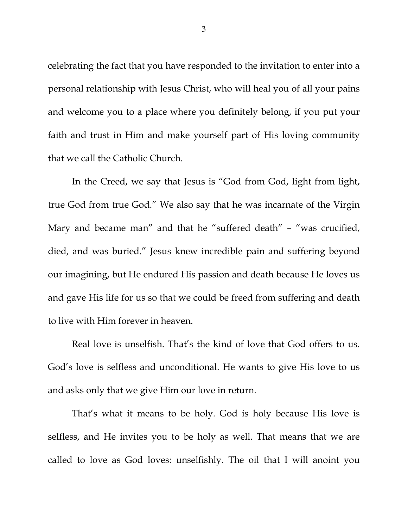celebrating the fact that you have responded to the invitation to enter into a personal relationship with Jesus Christ, who will heal you of all your pains and welcome you to a place where you definitely belong, if you put your faith and trust in Him and make yourself part of His loving community that we call the Catholic Church.

In the Creed, we say that Jesus is "God from God, light from light, true God from true God." We also say that he was incarnate of the Virgin Mary and became man" and that he "suffered death" – "was crucified, died, and was buried." Jesus knew incredible pain and suffering beyond our imagining, but He endured His passion and death because He loves us and gave His life for us so that we could be freed from suffering and death to live with Him forever in heaven.

Real love is unselfish. That's the kind of love that God offers to us. God's love is selfless and unconditional. He wants to give His love to us and asks only that we give Him our love in return.

That's what it means to be holy. God is holy because His love is selfless, and He invites you to be holy as well. That means that we are called to love as God loves: unselfishly. The oil that I will anoint you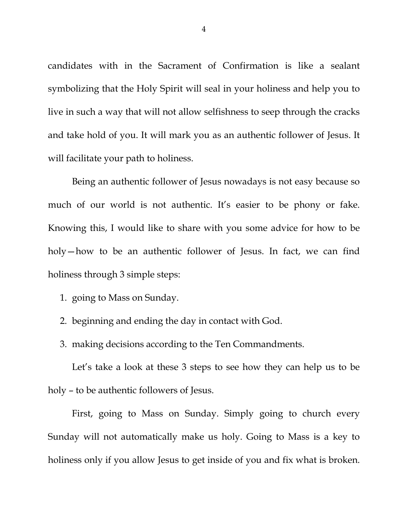candidates with in the Sacrament of Confirmation is like a sealant symbolizing that the Holy Spirit will seal in your holiness and help you to live in such a way that will not allow selfishness to seep through the cracks and take hold of you. It will mark you as an authentic follower of Jesus. It will facilitate your path to holiness.

Being an authentic follower of Jesus nowadays is not easy because so much of our world is not authentic. It's easier to be phony or fake. Knowing this, I would like to share with you some advice for how to be holy—how to be an authentic follower of Jesus. In fact, we can find holiness through 3 simple steps:

- 1. going to Mass on Sunday.
- 2. beginning and ending the day in contact with God.
- 3. making decisions according to the Ten Commandments.

Let's take a look at these 3 steps to see how they can help us to be holy – to be authentic followers of Jesus.

First, going to Mass on Sunday. Simply going to church every Sunday will not automatically make us holy. Going to Mass is a key to holiness only if you allow Jesus to get inside of you and fix what is broken.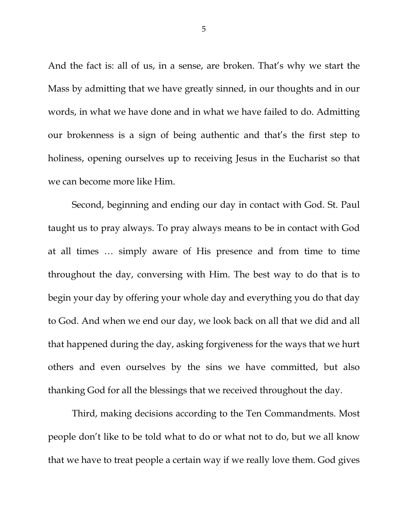And the fact is: all of us, in a sense, are broken. That's why we start the Mass by admitting that we have greatly sinned, in our thoughts and in our words, in what we have done and in what we have failed to do. Admitting our brokenness is a sign of being authentic and that's the first step to holiness, opening ourselves up to receiving Jesus in the Eucharist so that we can become more like Him.

Second, beginning and ending our day in contact with God. St. Paul taught us to pray always. To pray always means to be in contact with God at all times … simply aware of His presence and from time to time throughout the day, conversing with Him. The best way to do that is to begin your day by offering your whole day and everything you do that day to God. And when we end our day, we look back on all that we did and all that happened during the day, asking forgiveness for the ways that we hurt others and even ourselves by the sins we have committed, but also thanking God for all the blessings that we received throughout the day.

Third, making decisions according to the Ten Commandments. Most people don't like to be told what to do or what not to do, but we all know that we have to treat people a certain way if we really love them. God gives

5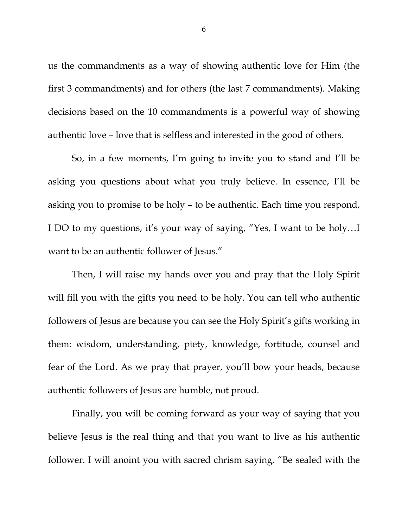<span id="page-5-0"></span>us the commandments as a way of showing authentic love for Him (the first 3 commandments) and for others (the last 7 commandments). Making decisions based on the 10 commandments is a powerful way of showing authentic love – love that is selfless and interested in the good of others.

<span id="page-5-2"></span><span id="page-5-1"></span>So, in a few moments, I'm going to invite you to stand and I'll be asking you questions about what you truly believe. In essence, I'll be asking you to promise to be holy – to be authentic. Each time you respond, I DO to my questions, it's your way of saying, "Yes, I want to be holy…I want to be an authentic follower of Jesus."

Then, I will raise my hands over you and pray that the Holy Spirit will fill you with the gifts you need to be holy. You can tell who authentic followers of Jesus are because you can see the Holy Spirit's gifts working in them: wisdom, understanding, piety, knowledge, fortitude, counsel and fear of the Lord. As we pray that prayer, you'll bow your heads, because authentic followers of Jesus are humble, not proud.

Finally, you will be coming forward as your way of saying that you believe Jesus is the real thing and that you want to live as his authentic follower. I will anoint you with sacred chrism saying, "Be sealed with the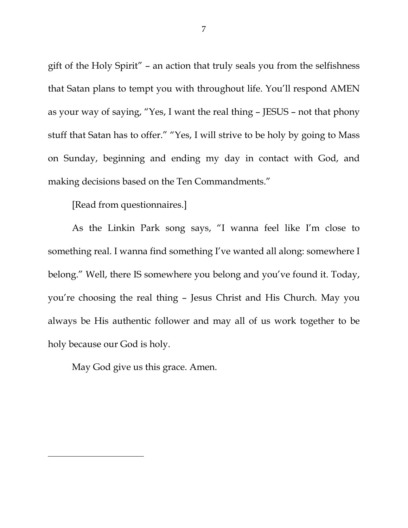gift of the Holy Spirit" – an action that truly seals you from the selfishness that Satan plans to tempt you with throughout life. You'll respond AMEN as your way of saying, "Yes, I want the real thing – JESUS – not that phony stuff that Satan has to offer." "Yes, I will strive to be holy by going to Mass on Sunday, beginning and ending my day in contact with God, and making decisions based on the Ten Commandments."

[Read from questionnaires.]

As the Linkin Park song says, "I wanna feel like I'm close to something real. I wanna find something I've wanted all along: somewhere I belong." Well, there IS somewhere you belong and you've found it. Today, you're choosing the real thing – Jesus Christ and His Church. May you always be His authentic follower and may all of us work together to be holy because our God is holy.

May God give us this grace. Amen.

 $\overline{a}$